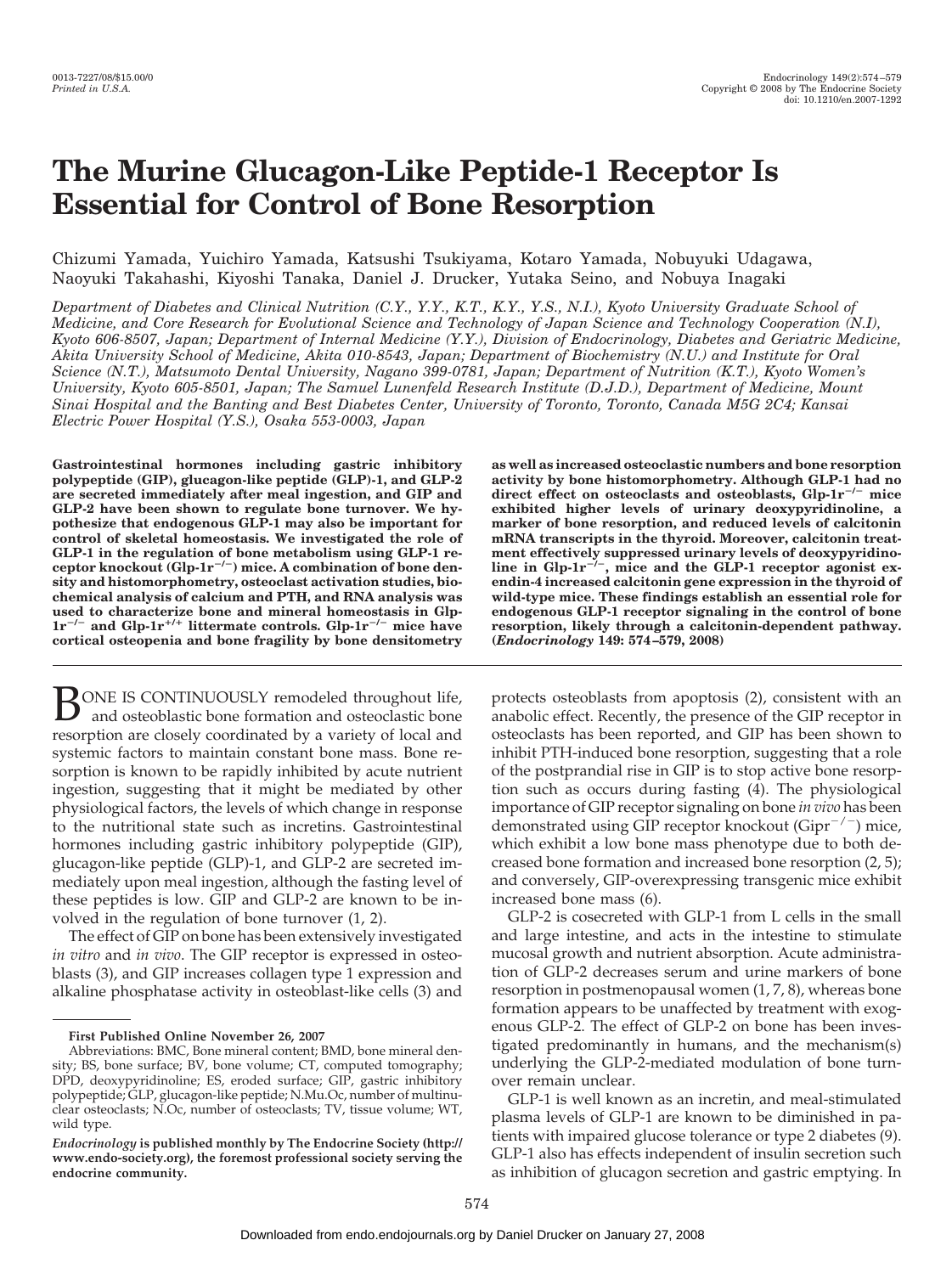# **The Murine Glucagon-Like Peptide-1 Receptor Is Essential for Control of Bone Resorption**

Chizumi Yamada, Yuichiro Yamada, Katsushi Tsukiyama, Kotaro Yamada, Nobuyuki Udagawa, Naoyuki Takahashi, Kiyoshi Tanaka, Daniel J. Drucker, Yutaka Seino, and Nobuya Inagaki

*Department of Diabetes and Clinical Nutrition (C.Y., Y.Y., K.T., K.Y., Y.S., N.I.), Kyoto University Graduate School of Medicine, and Core Research for Evolutional Science and Technology of Japan Science and Technology Cooperation (N.I), Kyoto 606-8507, Japan; Department of Internal Medicine (Y.Y.), Division of Endocrinology, Diabetes and Geriatric Medicine, Akita University School of Medicine, Akita 010-8543, Japan; Department of Biochemistry (N.U.) and Institute for Oral Science (N.T.), Matsumoto Dental University, Nagano 399-0781, Japan; Department of Nutrition (K.T.), Kyoto Women's University, Kyoto 605-8501, Japan; The Samuel Lunenfeld Research Institute (D.J.D.), Department of Medicine, Mount Sinai Hospital and the Banting and Best Diabetes Center, University of Toronto, Toronto, Canada M5G 2C4; Kansai Electric Power Hospital (Y.S.), Osaka 553-0003, Japan*

**Gastrointestinal hormones including gastric inhibitory polypeptide (GIP), glucagon-like peptide (GLP)-1, and GLP-2 are secreted immediately after meal ingestion, and GIP and GLP-2 have been shown to regulate bone turnover. We hypothesize that endogenous GLP-1 may also be important for control of skeletal homeostasis. We investigated the role of GLP-1 in the regulation of bone metabolism using GLP-1 re-ceptor knockout (Glp-1r/) mice. A combination of bone density and histomorphometry, osteoclast activation studies, biochemical analysis of calcium and PTH, and RNA analysis was used to characterize bone and mineral homeostasis in Glp-1r/ and Glp-1r**-**/**- **littermate controls. Glp-1r/ mice have cortical osteopenia and bone fragility by bone densitometry**

**BONE IS CONTINUOUSLY remodeled throughout life,** and osteoblastic bone formation and osteoclastic bone resorption are closely coordinated by a variety of local and systemic factors to maintain constant bone mass. Bone resorption is known to be rapidly inhibited by acute nutrient ingestion, suggesting that it might be mediated by other physiological factors, the levels of which change in response to the nutritional state such as incretins. Gastrointestinal hormones including gastric inhibitory polypeptide (GIP), glucagon-like peptide (GLP)-1, and GLP-2 are secreted immediately upon meal ingestion, although the fasting level of these peptides is low. GIP and GLP-2 are known to be involved in the regulation of bone turnover (1, 2).

The effect of GIP on bone has been extensively investigated *in vitro* and *in vivo*. The GIP receptor is expressed in osteoblasts (3), and GIP increases collagen type 1 expression and alkaline phosphatase activity in osteoblast-like cells (3) and

**as well as increased osteoclastic numbers and bone resorption activity by bone histomorphometry. Although GLP-1 had no direct effect on osteoclasts and osteoblasts, Glp-1r/ mice exhibited higher levels of urinary deoxypyridinoline, a marker of bone resorption, and reduced levels of calcitonin mRNA transcripts in the thyroid. Moreover, calcitonin treatment effectively suppressed urinary levels of deoxypyridino-line in Glp-1r/, mice and the GLP-1 receptor agonist exendin-4 increased calcitonin gene expression in the thyroid of wild-type mice. These findings establish an essential role for endogenous GLP-1 receptor signaling in the control of bone resorption, likely through a calcitonin-dependent pathway. (***Endocrinology* **149: 574 –579, 2008)**

protects osteoblasts from apoptosis (2), consistent with an anabolic effect. Recently, the presence of the GIP receptor in osteoclasts has been reported, and GIP has been shown to inhibit PTH-induced bone resorption, suggesting that a role of the postprandial rise in GIP is to stop active bone resorption such as occurs during fasting (4). The physiological importance of GIP receptor signaling on bone *in vivo* has been demonstrated using GIP receptor knockout (Gipr<sup>-/-</sup>) mice, which exhibit a low bone mass phenotype due to both decreased bone formation and increased bone resorption (2, 5); and conversely, GIP-overexpressing transgenic mice exhibit increased bone mass (6).

GLP-2 is cosecreted with GLP-1 from L cells in the small and large intestine, and acts in the intestine to stimulate mucosal growth and nutrient absorption. Acute administration of GLP-2 decreases serum and urine markers of bone resorption in postmenopausal women (1, 7, 8), whereas bone formation appears to be unaffected by treatment with exogenous GLP-2. The effect of GLP-2 on bone has been investigated predominantly in humans, and the mechanism(s) underlying the GLP-2-mediated modulation of bone turnover remain unclear.

GLP-1 is well known as an incretin, and meal-stimulated plasma levels of GLP-1 are known to be diminished in patients with impaired glucose tolerance or type 2 diabetes (9). GLP-1 also has effects independent of insulin secretion such as inhibition of glucagon secretion and gastric emptying. In

**First Published Online November 26, 2007**

Abbreviations: BMC, Bone mineral content; BMD, bone mineral density; BS, bone surface; BV, bone volume; CT, computed tomography; DPD, deoxypyridinoline; ES, eroded surface; GIP, gastric inhibitory polypeptide; GLP, glucagon-like peptide; N.Mu.Oc, number of multinuclear osteoclasts; N.Oc, number of osteoclasts; TV, tissue volume; WT, wild type.

*Endocrinology* **is published monthly by The Endocrine Society (http:// www.endo-society.org), the foremost professional society serving the endocrine community.**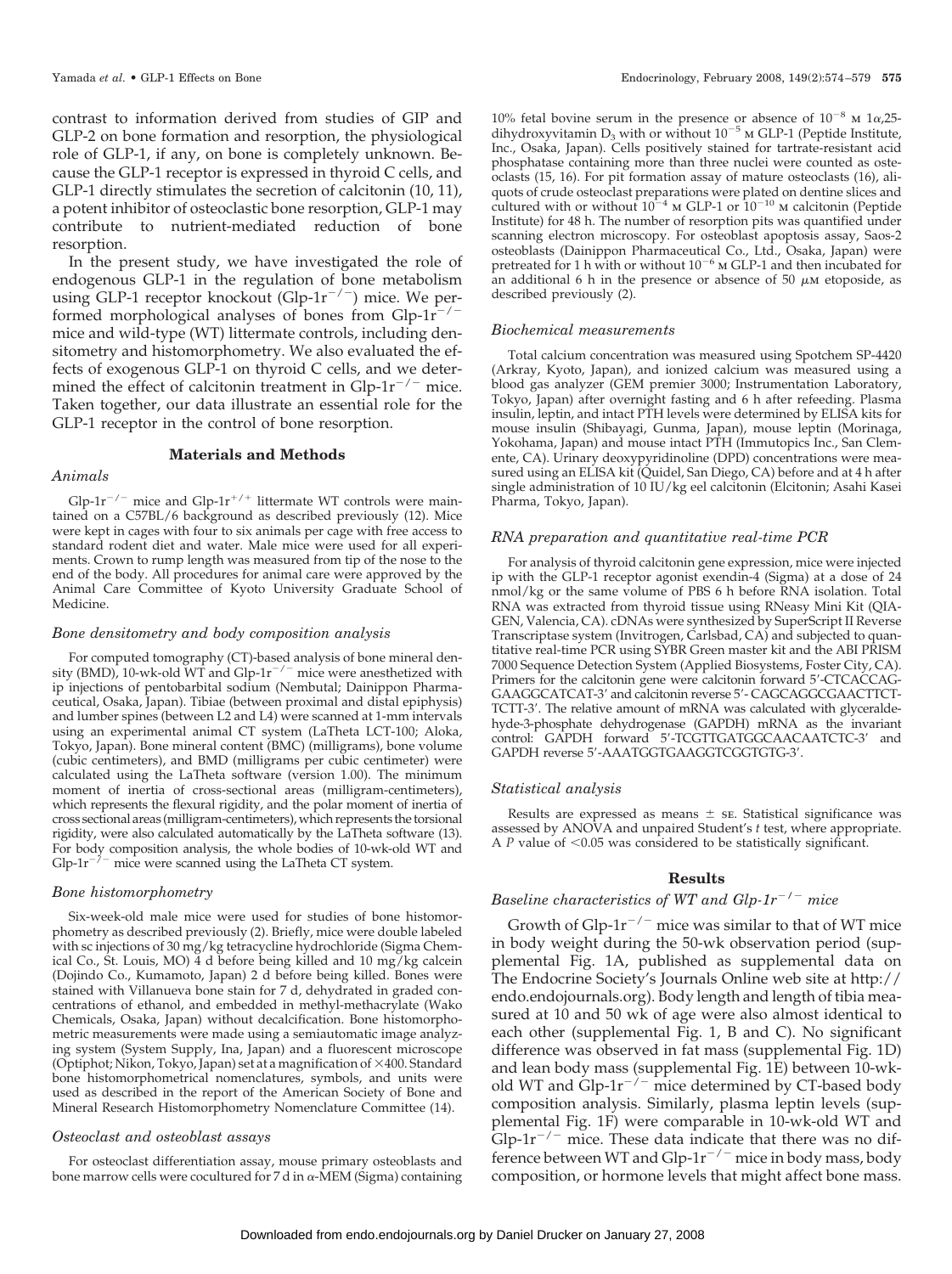contrast to information derived from studies of GIP and GLP-2 on bone formation and resorption, the physiological role of GLP-1, if any, on bone is completely unknown. Because the GLP-1 receptor is expressed in thyroid C cells, and GLP-1 directly stimulates the secretion of calcitonin (10, 11), a potent inhibitor of osteoclastic bone resorption, GLP-1 may contribute to nutrient-mediated reduction of bone resorption.

In the present study, we have investigated the role of endogenous GLP-1 in the regulation of bone metabolism using GLP-1 receptor knockout (Glp-1 $r^{-/-}$ ) mice. We performed morphological analyses of bones from  $Glp-1r^{-/-}$ mice and wild-type (WT) littermate controls, including densitometry and histomorphometry. We also evaluated the effects of exogenous GLP-1 on thyroid C cells, and we determined the effect of calcitonin treatment in  $G/p-1r^{-/-}$  mice. Taken together, our data illustrate an essential role for the GLP-1 receptor in the control of bone resorption.

## **Materials and Methods**

## *Animals*

 $Glp-1r^{-/-}$  mice and  $Glp-1r^{+/+}$  littermate WT controls were maintained on a C57BL/6 background as described previously (12). Mice were kept in cages with four to six animals per cage with free access to standard rodent diet and water. Male mice were used for all experiments. Crown to rump length was measured from tip of the nose to the end of the body. All procedures for animal care were approved by the Animal Care Committee of Kyoto University Graduate School of Medicine.

#### *Bone densitometry and body composition analysis*

For computed tomography (CT)-based analysis of bone mineral density (BMD), 10-wk-old WT and Glp-1 $r^{-/-}$  mice were anesthetized with ip injections of pentobarbital sodium (Nembutal; Dainippon Pharmaceutical, Osaka, Japan). Tibiae (between proximal and distal epiphysis) and lumber spines (between L2 and L4) were scanned at 1-mm intervals using an experimental animal CT system (LaTheta LCT-100; Aloka, Tokyo, Japan). Bone mineral content (BMC) (milligrams), bone volume (cubic centimeters), and BMD (milligrams per cubic centimeter) were calculated using the LaTheta software (version 1.00). The minimum moment of inertia of cross-sectional areas (milligram-centimeters), which represents the flexural rigidity, and the polar moment of inertia of cross sectional areas (milligram-centimeters),which represents the torsional rigidity, were also calculated automatically by the LaTheta software (13). For body composition analysis, the whole bodies of 10-wk-old WT and  $Glp-1r^{-7}$  mice were scanned using the LaTheta CT system.

## *Bone histomorphometry*

Six-week-old male mice were used for studies of bone histomorphometry as described previously (2). Briefly, mice were double labeled with sc injections of 30 mg/kg tetracycline hydrochloride (Sigma Chemical Co., St. Louis, MO) 4 d before being killed and 10 mg/kg calcein (Dojindo Co., Kumamoto, Japan) 2 d before being killed. Bones were stained with Villanueva bone stain for 7 d, dehydrated in graded concentrations of ethanol, and embedded in methyl-methacrylate (Wako Chemicals, Osaka, Japan) without decalcification. Bone histomorphometric measurements were made using a semiautomatic image analyzing system (System Supply, Ina, Japan) and a fluorescent microscope (Optiphot; Nikon, Tokyo, Japan) set at a magnification of  $\times 400$ . Standard bone histomorphometrical nomenclatures, symbols, and units were used as described in the report of the American Society of Bone and Mineral Research Histomorphometry Nomenclature Committee (14).

#### *Osteoclast and osteoblast assays*

For osteoclast differentiation assay, mouse primary osteoblasts and bone marrow cells were cocultured for 7 d in  $\alpha$ -MEM (Sigma) containing

10% fetal bovine serum in the presence or absence of  $10^{-8}$  m  $1\alpha,25$ dihydroxyvitamin  $D_3$  with or without  $10^{-5}$  m GLP-1 (Peptide Institute, Inc., Osaka, Japan). Cells positively stained for tartrate-resistant acid phosphatase containing more than three nuclei were counted as osteoclasts (15, 16). For pit formation assay of mature osteoclasts (16), aliquots of crude osteoclast preparations were plated on dentine slices and cultured with or without  $10^{-4}$  m GLP-1 or  $10^{-10}$  m calcitonin (Peptide Institute) for 48 h. The number of resorption pits was quantified under scanning electron microscopy. For osteoblast apoptosis assay, Saos-2 osteoblasts (Dainippon Pharmaceutical Co., Ltd., Osaka, Japan) were pretreated for 1 h with or without  $10^{-6}$  m GLP-1 and then incubated for an additional 6 h in the presence or absence of 50  $\mu$ m etoposide, as described previously (2).

#### *Biochemical measurements*

Total calcium concentration was measured using Spotchem SP-4420 (Arkray, Kyoto, Japan), and ionized calcium was measured using a blood gas analyzer (GEM premier 3000; Instrumentation Laboratory, Tokyo, Japan) after overnight fasting and 6 h after refeeding. Plasma insulin, leptin, and intact PTH levels were determined by ELISA kits for mouse insulin (Shibayagi, Gunma, Japan), mouse leptin (Morinaga, Yokohama, Japan) and mouse intact PTH (Immutopics Inc., San Clemente, CA). Urinary deoxypyridinoline (DPD) concentrations were measured using an ELISA kit (Quidel, San Diego, CA) before and at 4 h after single administration of 10 IU/kg eel calcitonin (Elcitonin; Asahi Kasei Pharma, Tokyo, Japan).

### *RNA preparation and quantitative real-time PCR*

For analysis of thyroid calcitonin gene expression, mice were injected ip with the GLP-1 receptor agonist exendin-4 (Sigma) at a dose of 24 nmol/kg or the same volume of PBS 6 h before RNA isolation. Total RNA was extracted from thyroid tissue using RNeasy Mini Kit (QIA-GEN, Valencia, CA). cDNAs were synthesized by SuperScript II Reverse Transcriptase system (Invitrogen, Carlsbad, CA) and subjected to quantitative real-time PCR using SYBR Green master kit and the ABI PRISM 7000 Sequence Detection System (Applied Biosystems, Foster City, CA). Primers for the calcitonin gene were calcitonin forward 5-CTCACCAG-GAAGGCATCAT-3 and calcitonin reverse 5- CAGCAGGCGAACTTCT-TCTT-3'. The relative amount of mRNA was calculated with glyceraldehyde-3-phosphate dehydrogenase (GAPDH) mRNA as the invariant control: GAPDH forward 5'-TCGTTGATGGCAACAATCTC-3' and GAPDH reverse 5'-AAATGGTGAAGGTCGGTGTG-3'.

#### *Statistical analysis*

Results are expressed as means  $\pm$  se. Statistical significance was assessed by ANOVA and unpaired Student's *t* test, where appropriate. A  $P$  value of  $\leq 0.05$  was considered to be statistically significant.

## **Results**

# *Baseline characteristics of WT and Glp-1r/ mice*

Growth of Glp-1r $^{-/-}$  mice was similar to that of WT mice in body weight during the 50-wk observation period (supplemental Fig. 1A, published as supplemental data on The Endocrine Society's Journals Online web site at http:// endo.endojournals.org). Body length and length of tibia measured at 10 and 50 wk of age were also almost identical to each other (supplemental Fig. 1, B and C). No significant difference was observed in fat mass (supplemental Fig. 1D) and lean body mass (supplemental Fig. 1E) between 10-wkold WT and  $Glp-1r^{-/-}$  mice determined by CT-based body composition analysis. Similarly, plasma leptin levels (supplemental Fig. 1F) were comparable in 10-wk-old WT and Glp-1 $r^{-/-}$  mice. These data indicate that there was no difference between WT and Glp-1 $r^{-/-}$  mice in body mass, body composition, or hormone levels that might affect bone mass.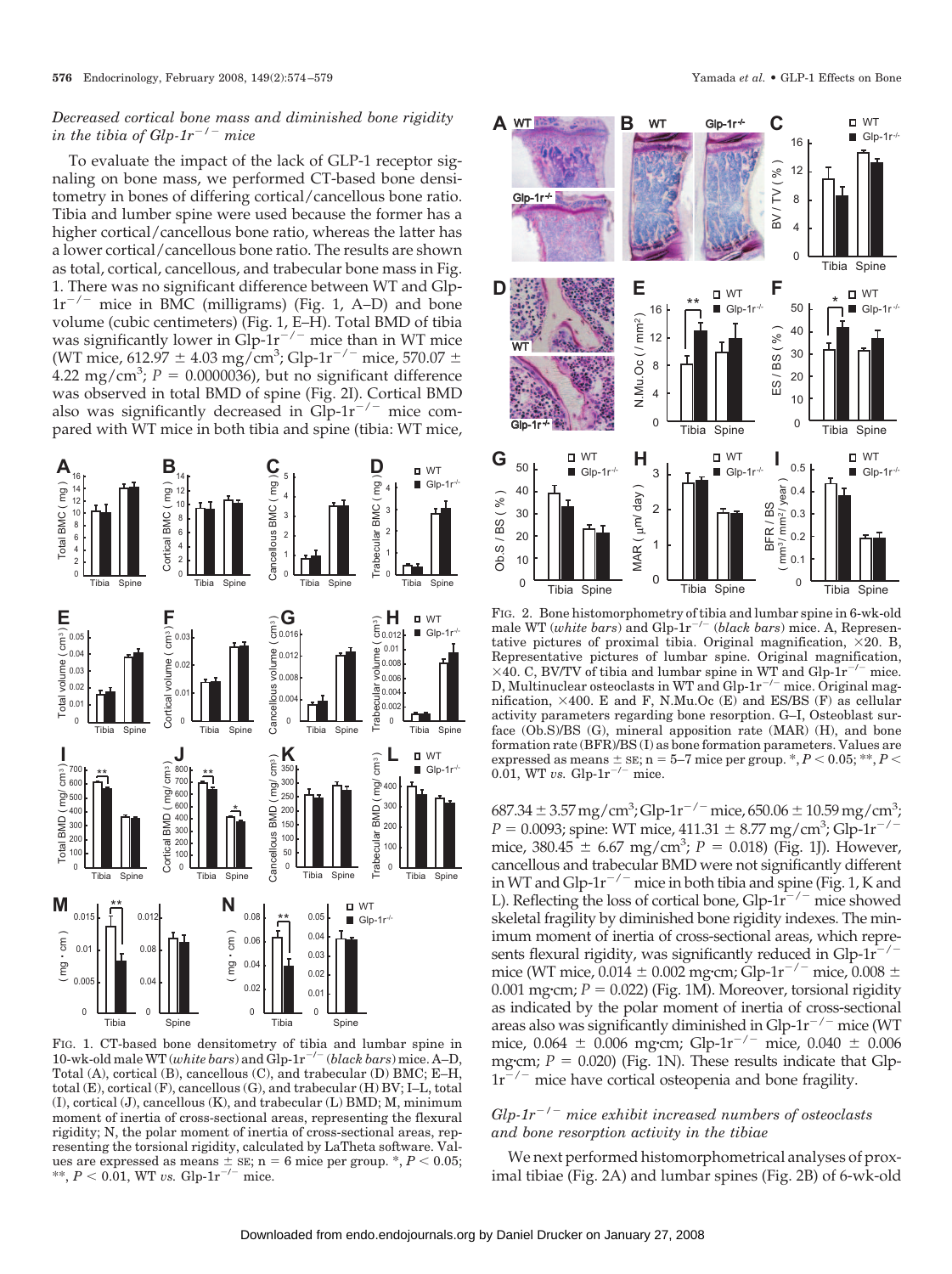# *Decreased cortical bone mass and diminished bone rigidity in the tibia of Glp-1r<sup>-/-</sup> mice*

To evaluate the impact of the lack of GLP-1 receptor signaling on bone mass, we performed CT-based bone densitometry in bones of differing cortical/cancellous bone ratio. Tibia and lumber spine were used because the former has a higher cortical/cancellous bone ratio, whereas the latter has a lower cortical/cancellous bone ratio. The results are shown as total, cortical, cancellous, and trabecular bone mass in Fig. 1. There was no significant difference between WT and Glp- $1r^{-/-}$  mice in BMC (milligrams) (Fig. 1, A–D) and bone volume (cubic centimeters) (Fig. 1, E–H). Total BMD of tibia was significantly lower in Glp-1 $r^{-/-}$  mice than in WT mice (WT mice, 612.97  $\pm$  4.03 mg/cm<sup>3</sup>; Glp-1r<sup>-/-</sup> mice, 570.07  $\pm$  $4.22 \text{ mg/cm}^3$ ;  $P = 0.0000036$ ), but no significant difference was observed in total BMD of spine (Fig. 2I). Cortical BMD also was significantly decreased in  $Glp-1r^{-/-}$  mice compared with WT mice in both tibia and spine (tibia: WT mice,



FIG. 1. CT-based bone densitometry of tibia and lumbar spine in 10-wk-old male WT (*white bars*) and  $\tilde{G}$ lp-1 $r^{-/-}$  (*black bars*) mice. A–D, Total (A), cortical (B), cancellous (C), and trabecular (D) BMC; E–H, total (E), cortical (F), cancellous (G), and trabecular (H) BV; I–L, total (I), cortical (J), cancellous (K), and trabecular (L) BMD; M, minimum moment of inertia of cross-sectional areas, representing the flexural rigidity; N, the polar moment of inertia of cross-sectional areas, representing the torsional rigidity, calculated by LaTheta software. Values are expressed as means  $\pm$  sE; n = 6 mice per group.  $\ast$ ,  $P$  < 0.05; \*\*,  $P < 0.01$ , WT *vs.* Glp-1r<sup>-/-</sup> mice.



FIG. 2. Bone histomorphometry of tibia and lumbar spine in 6-wk-old male WT (*white bars*) and Glp-1r<sup>-/-</sup> (*black bars*) mice. A, Representative pictures of proximal tibia. Original magnification,  $\times 20$ . B, Representative pictures of lumbar spine. Original magnification,  $\times$ 40. C, BV/TV of tibia and lumbar spine in WT and Glp-1r<sup>-/-</sup> mice. D, Multinuclear osteoclasts in WT and Glp-1 $r^{-/-}$  mice. Original magnification,  $\times$ 400. E and F, N.Mu.Oc (E) and ES/BS (F) as cellular activity parameters regarding bone resorption. G–I, Osteoblast surface (Ob.S)/BS (G), mineral apposition rate (MAR) (H), and bone formation rate (BFR)/BS (I) as bone formation parameters. Values are expressed as means  $\pm$  sE; n = 5–7 mice per group.  $\ast$ ,  $P$  < 0.05;  $\ast\ast$ ,  $P$  < 0.01, WT *vs.* Glp- $1r^{-/-}$  mice.

 $687.34 \pm 3.57$  mg/cm<sup>3</sup>; Glp-1r<sup>-/-</sup> mice, 650.06  $\pm$  10.59 mg/cm<sup>3</sup>;  $P = 0.0093$ ; spine: WT mice, 411.31  $\pm 8.77$  mg/cm<sup>3</sup>; Glp-1r<sup>-/-</sup> mice,  $380.45 \pm 6.67$  mg/cm<sup>3</sup>;  $P = 0.018$ ) (Fig. 1J). However, cancellous and trabecular BMD were not significantly different in WT and Glp-1 $r^{-/-}$  mice in both tibia and spine (Fig. 1, K and L). Reflecting the loss of cortical bone,  $Glp-1r^{-/-}$  mice showed skeletal fragility by diminished bone rigidity indexes. The minimum moment of inertia of cross-sectional areas, which represents flexural rigidity, was significantly reduced in  $G/p-1r^{-/-}$ mice (WT mice, 0.014  $\pm$  0.002 mg·cm; Glp-1r<sup>-/-</sup> mice, 0.008  $\pm$ 0.001 mg·cm;  $P = 0.022$ ) (Fig. 1M). Moreover, torsional rigidity as indicated by the polar moment of inertia of cross-sectional areas also was significantly diminished in Glp- $1r^{-/-}$  mice (WT mice, 0.064  $\pm$  0.006 mg·cm; Glp-1r<sup>-/-</sup> mice, 0.040  $\pm$  0.006 mg·cm;  $P = 0.020$ ) (Fig. 1N). These results indicate that Glp- $1r^{-/-}$  mice have cortical osteopenia and bone fragility.

# *Glp-1r/ mice exhibit increased numbers of osteoclasts and bone resorption activity in the tibiae*

We next performed histomorphometrical analyses of proximal tibiae (Fig. 2A) and lumbar spines (Fig. 2B) of 6-wk-old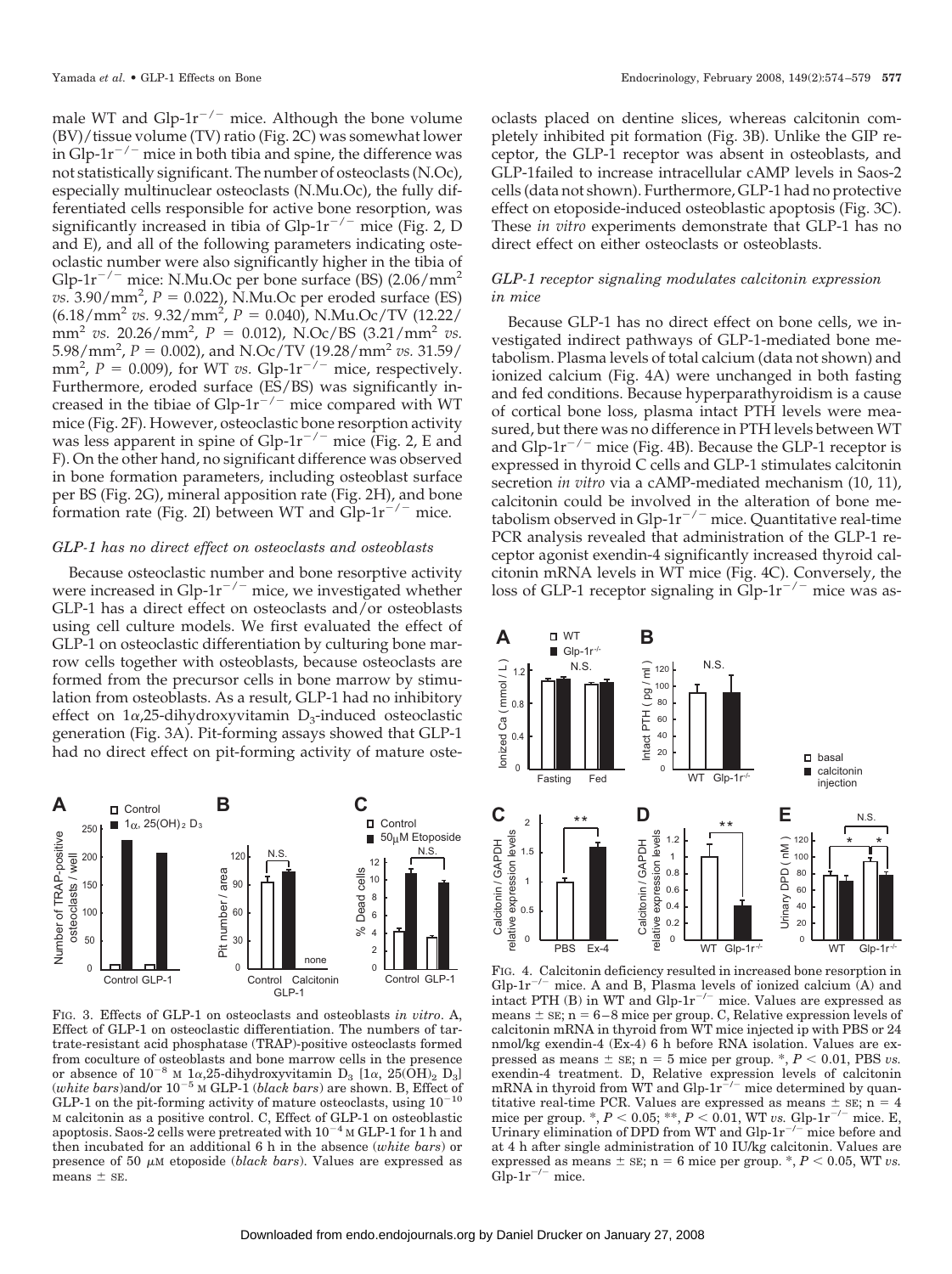male WT and Glp-1 $r^{-/-}$  mice. Although the bone volume (BV)/tissue volume (TV) ratio (Fig. 2C) was somewhat lower in Glp-1 $r^{-/-}$  mice in both tibia and spine, the difference was not statistically significant. The number of osteoclasts (N.Oc), especially multinuclear osteoclasts (N.Mu.Oc), the fully differentiated cells responsible for active bone resorption, was significantly increased in tibia of Glp-1 $r^{-/-}$  mice (Fig. 2, D and E), and all of the following parameters indicating osteoclastic number were also significantly higher in the tibia of Glp-1 $r^{-/-}$  mice: N.Mu.Oc per bone surface (BS) (2.06/mm<sup>2</sup>  $vs.$  3.90/mm<sup>2</sup>,  $P = 0.022$ ), N.Mu.Oc per eroded surface (ES)  $(6.18/\text{mm}^2 \text{ vs. } 9.32/\text{mm}^2, P = 0.040)$ , N.Mu.Oc/TV (12.22/  $mm^2$  *vs.* 20.26/mm<sup>2</sup>,  $P = 0.012$ ), N.Oc/BS (3.21/mm<sup>2</sup> *vs.*  $5.98/\text{mm}^2$ ,  $P = 0.002$ ), and N.Oc/TV (19.28/mm<sup>2</sup> *vs.* 31.59/ mm<sup>2</sup>,  $P = 0.009$ ), for WT *vs.* Glp-1r<sup>-/-</sup> mice, respectively. Furthermore, eroded surface (ES/BS) was significantly increased in the tibiae of  $Glp-1r^{-/-}$  mice compared with WT mice (Fig. 2F). However, osteoclastic bone resorption activity was less apparent in spine of Glp-1 $r^{-/-}$  mice (Fig. 2, E and F). On the other hand, no significant difference was observed in bone formation parameters, including osteoblast surface per BS (Fig. 2G), mineral apposition rate (Fig. 2H), and bone formation rate (Fig. 2I) between WT and  $Glp-1r^{-/-}$  mice.

# *GLP-1 has no direct effect on osteoclasts and osteoblasts*

Because osteoclastic number and bone resorptive activity were increased in Glp-1 $r^{-/-}$  mice, we investigated whether GLP-1 has a direct effect on osteoclasts and/or osteoblasts using cell culture models. We first evaluated the effect of GLP-1 on osteoclastic differentiation by culturing bone marrow cells together with osteoblasts, because osteoclasts are formed from the precursor cells in bone marrow by stimulation from osteoblasts. As a result, GLP-1 had no inhibitory effect on  $1\alpha$ , 25-dihydroxyvitamin D<sub>3</sub>-induced osteoclastic generation (Fig. 3A). Pit-forming assays showed that GLP-1 had no direct effect on pit-forming activity of mature oste-



FIG. 3. Effects of GLP-1 on osteoclasts and osteoblasts *in vitro*. A, Effect of GLP-1 on osteoclastic differentiation. The numbers of tartrate-resistant acid phosphatase (TRAP)-positive osteoclasts formed from coculture of osteoblasts and bone marrow cells in the presence or absence of  $10^{-8}$  M  $1\alpha, 25$ -dihydroxyvitamin D<sub>3</sub> [1 $\alpha$ , 25(OH)<sub>2</sub> D<sub>3</sub>]  $(white\ bars)$ and/or  $10^{-5}$  M GLP-1 (*black bars*) are shown. B, Effect of GLP-1 on the pit-forming activity of mature osteoclasts, using  $10^{-10}$ M calcitonin as a positive control. C, Effect of GLP-1 on osteoblastic apoptosis. Saos-2 cells were pretreated with  $10^{-4}$  M GLP-1 for 1 h and then incubated for an additional 6 h in the absence (*white bars*) or presence of 50  $\mu$ M etoposide (*black bars*). Values are expressed as means  $\pm$  SE.

oclasts placed on dentine slices, whereas calcitonin completely inhibited pit formation (Fig. 3B). Unlike the GIP receptor, the GLP-1 receptor was absent in osteoblasts, and GLP-1failed to increase intracellular cAMP levels in Saos-2 cells (data not shown). Furthermore, GLP-1 had no protective effect on etoposide-induced osteoblastic apoptosis (Fig. 3C). These *in vitro* experiments demonstrate that GLP-1 has no direct effect on either osteoclasts or osteoblasts.

# *GLP-1 receptor signaling modulates calcitonin expression in mice*

Because GLP-1 has no direct effect on bone cells, we investigated indirect pathways of GLP-1-mediated bone metabolism. Plasma levels of total calcium (data not shown) and ionized calcium (Fig. 4A) were unchanged in both fasting and fed conditions. Because hyperparathyroidism is a cause of cortical bone loss, plasma intact PTH levels were measured, but there was no difference in PTH levels between WT and Glp-1 $r^{-/-}$  mice (Fig. 4B). Because the GLP-1 receptor is expressed in thyroid C cells and GLP-1 stimulates calcitonin secretion *in vitro* via a cAMP-mediated mechanism (10, 11), calcitonin could be involved in the alteration of bone metabolism observed in Glp-1 $r^{-/-}$  mice. Quantitative real-time PCR analysis revealed that administration of the GLP-1 receptor agonist exendin-4 significantly increased thyroid calcitonin mRNA levels in WT mice (Fig. 4C). Conversely, the loss of GLP-1 receptor signaling in Glp- $1r^{-/-}$  mice was as-



FIG. 4. Calcitonin deficiency resulted in increased bone resorption in Glp-1 $r^{-/-}$  mice. A and B, Plasma levels of ionized calcium  $(A)$  and intact PTH (B) in WT and Glp- $1r^{-/-}$  mice. Values are expressed as means  $\pm$  SE; n = 6–8 mice per group. C, Relative expression levels of calcitonin mRNA in thyroid from WT mice injected ip with PBS or 24 nmol/kg exendin-4 (Ex-4) 6 h before RNA isolation. Values are expressed as means  $\pm$  sE; n = 5 mice per group.  $\ast$ ,  $P < 0.01$ , PBS *vs*. exendin-4 treatment. D, Relative expression levels of calcitonin mRNA in thyroid from WT and Glp- $1r^{-/-}$  mice determined by quantitative real-time PCR. Values are expressed as means  $\pm$  sE; n = 4 mice per group. \*,  $P < 0.05$ ; \*\*,  $P < 0.01$ , WT *vs.* Glp-1r<sup>-/-</sup> mice. E, Urinary elimination of DPD from WT and  $Glp-1r^{-/-}$  mice before and at 4 h after single administration of 10 IU/kg calcitonin. Values are expressed as means  $\pm$  sE; n = 6 mice per group.  $\ast$ ,  $P$  < 0.05, WT *vs.* Glp- $1r^{-/-}$  mice.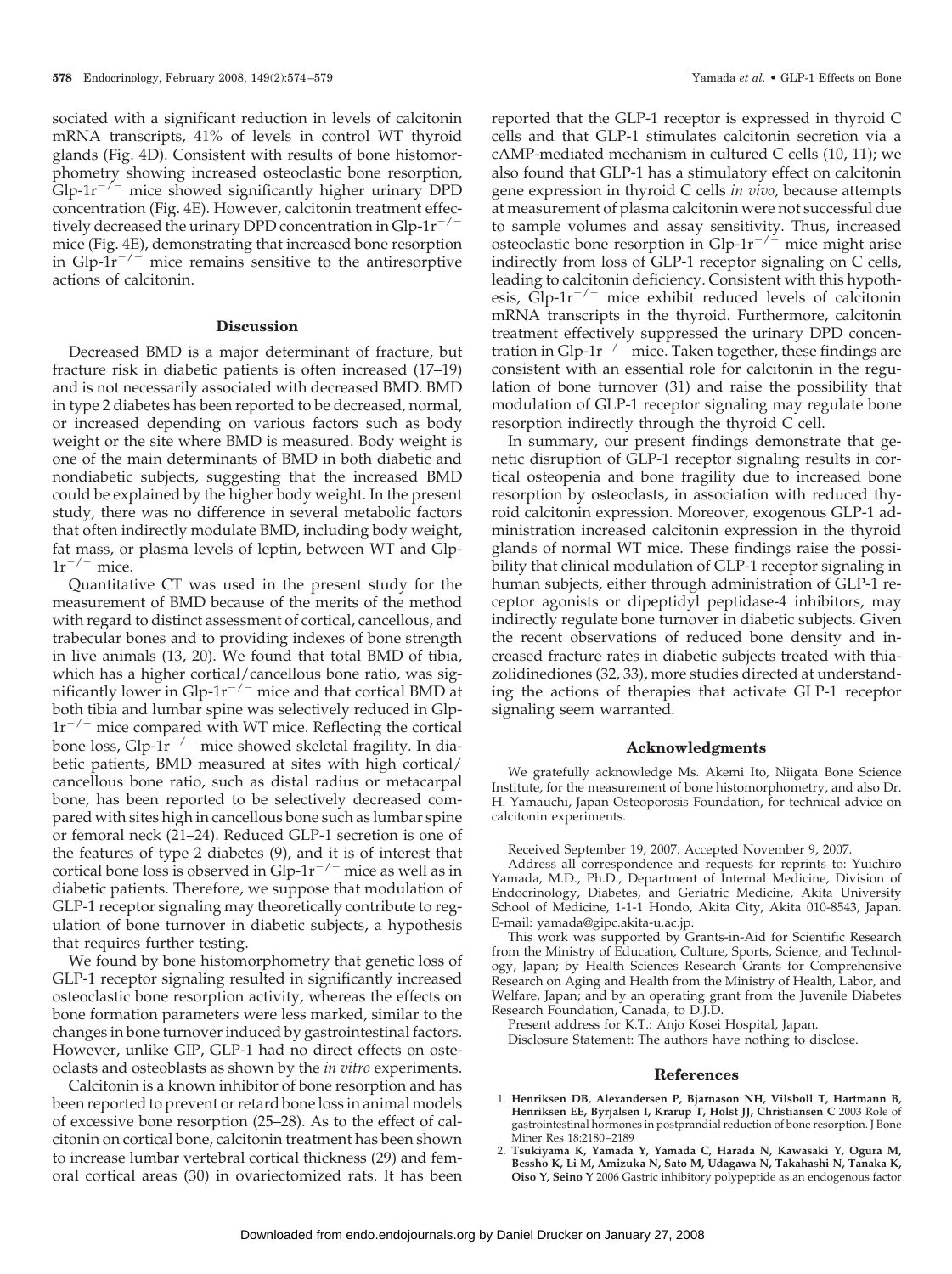sociated with a significant reduction in levels of calcitonin mRNA transcripts, 41% of levels in control WT thyroid glands (Fig. 4D). Consistent with results of bone histomorphometry showing increased osteoclastic bone resorption,  $Glp-1r^{-/-}$  mice showed significantly higher urinary DPD concentration (Fig. 4E). However, calcitonin treatment effectively decreased the urinary DPD concentration in  $Glp-1r^{-/-}$ mice (Fig. 4E), demonstrating that increased bone resorption in Glp- $1r^{-/-}$  mice remains sensitive to the antiresorptive actions of calcitonin.

## **Discussion**

Decreased BMD is a major determinant of fracture, but fracture risk in diabetic patients is often increased (17–19) and is not necessarily associated with decreased BMD. BMD in type 2 diabetes has been reported to be decreased, normal, or increased depending on various factors such as body weight or the site where BMD is measured. Body weight is one of the main determinants of BMD in both diabetic and nondiabetic subjects, suggesting that the increased BMD could be explained by the higher body weight. In the present study, there was no difference in several metabolic factors that often indirectly modulate BMD, including body weight, fat mass, or plasma levels of leptin, between WT and Glp- $1r^{-/-}$  mice.

Quantitative CT was used in the present study for the measurement of BMD because of the merits of the method with regard to distinct assessment of cortical, cancellous, and trabecular bones and to providing indexes of bone strength in live animals (13, 20). We found that total BMD of tibia, which has a higher cortical/cancellous bone ratio, was significantly lower in Glp-1 $r^{-/-}$  mice and that cortical BMD at both tibia and lumbar spine was selectively reduced in Glp- $1r^{-/-}$  mice compared with WT mice. Reflecting the cortical bone loss,  $Glp-1r^{-/-}$  mice showed skeletal fragility. In diabetic patients, BMD measured at sites with high cortical/ cancellous bone ratio, such as distal radius or metacarpal bone, has been reported to be selectively decreased compared with sites high in cancellous bone such as lumbar spine or femoral neck (21–24). Reduced GLP-1 secretion is one of the features of type 2 diabetes (9), and it is of interest that cortical bone loss is observed in Glp- $1r^{-/-}$  mice as well as in diabetic patients. Therefore, we suppose that modulation of GLP-1 receptor signaling may theoretically contribute to regulation of bone turnover in diabetic subjects, a hypothesis that requires further testing.

We found by bone histomorphometry that genetic loss of GLP-1 receptor signaling resulted in significantly increased osteoclastic bone resorption activity, whereas the effects on bone formation parameters were less marked, similar to the changes in bone turnover induced by gastrointestinal factors. However, unlike GIP, GLP-1 had no direct effects on osteoclasts and osteoblasts as shown by the *in vitro* experiments.

Calcitonin is a known inhibitor of bone resorption and has been reported to prevent or retard bone loss in animal models of excessive bone resorption (25–28). As to the effect of calcitonin on cortical bone, calcitonin treatment has been shown to increase lumbar vertebral cortical thickness (29) and femoral cortical areas (30) in ovariectomized rats. It has been

reported that the GLP-1 receptor is expressed in thyroid C cells and that GLP-1 stimulates calcitonin secretion via a cAMP-mediated mechanism in cultured C cells (10, 11); we also found that GLP-1 has a stimulatory effect on calcitonin gene expression in thyroid C cells *in vivo*, because attempts at measurement of plasma calcitonin were not successful due to sample volumes and assay sensitivity. Thus, increased osteoclastic bone resorption in Glp- $1r^{-/2}$  mice might arise indirectly from loss of GLP-1 receptor signaling on C cells, leading to calcitonin deficiency. Consistent with this hypothesis,  $Glp-1r^{-/-}$  mice exhibit reduced levels of calcitonin mRNA transcripts in the thyroid. Furthermore, calcitonin treatment effectively suppressed the urinary DPD concentration in Glp-1 $r^{-/-}$  mice. Taken together, these findings are consistent with an essential role for calcitonin in the regulation of bone turnover (31) and raise the possibility that modulation of GLP-1 receptor signaling may regulate bone resorption indirectly through the thyroid C cell.

In summary, our present findings demonstrate that genetic disruption of GLP-1 receptor signaling results in cortical osteopenia and bone fragility due to increased bone resorption by osteoclasts, in association with reduced thyroid calcitonin expression. Moreover, exogenous GLP-1 administration increased calcitonin expression in the thyroid glands of normal WT mice. These findings raise the possibility that clinical modulation of GLP-1 receptor signaling in human subjects, either through administration of GLP-1 receptor agonists or dipeptidyl peptidase-4 inhibitors, may indirectly regulate bone turnover in diabetic subjects. Given the recent observations of reduced bone density and increased fracture rates in diabetic subjects treated with thiazolidinediones (32, 33), more studies directed at understanding the actions of therapies that activate GLP-1 receptor signaling seem warranted.

#### **Acknowledgments**

We gratefully acknowledge Ms. Akemi Ito, Niigata Bone Science Institute, for the measurement of bone histomorphometry, and also Dr. H. Yamauchi, Japan Osteoporosis Foundation, for technical advice on calcitonin experiments.

Received September 19, 2007. Accepted November 9, 2007.

Address all correspondence and requests for reprints to: Yuichiro Yamada, M.D., Ph.D., Department of Internal Medicine, Division of Endocrinology, Diabetes, and Geriatric Medicine, Akita University School of Medicine, 1-1-1 Hondo, Akita City, Akita 010-8543, Japan. E-mail: yamada@gipc.akita-u.ac.jp.

This work was supported by Grants-in-Aid for Scientific Research from the Ministry of Education, Culture, Sports, Science, and Technology, Japan; by Health Sciences Research Grants for Comprehensive Research on Aging and Health from the Ministry of Health, Labor, and Welfare, Japan; and by an operating grant from the Juvenile Diabetes Research Foundation, Canada, to D.J.D.

Present address for K.T.: Anjo Kosei Hospital, Japan.

Disclosure Statement: The authors have nothing to disclose.

#### **References**

- 1. **Henriksen DB, Alexandersen P, Bjarnason NH, Vilsboll T, Hartmann B, Henriksen EE, Byrjalsen I, Krarup T, Holst JJ, Christiansen C** 2003 Role of gastrointestinal hormones in postprandial reduction of bone resorption. J Bone Miner Res 18:2180 –2189
- 2. **Tsukiyama K, Yamada Y, Yamada C, Harada N, Kawasaki Y, Ogura M, Bessho K, Li M, Amizuka N, Sato M, Udagawa N, Takahashi N, Tanaka K, Oiso Y, Seino Y** 2006 Gastric inhibitory polypeptide as an endogenous factor